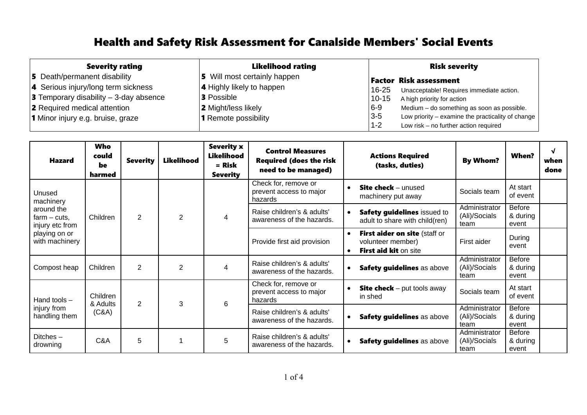| <b>Severity rating</b>                                                                 | <b>Likelihood rating</b>                              | <b>Risk severity</b>                                                                                                  |
|----------------------------------------------------------------------------------------|-------------------------------------------------------|-----------------------------------------------------------------------------------------------------------------------|
| 5 Death/permanent disability                                                           | 5 Will most certainly happen                          | <b>Factor Risk assessment</b>                                                                                         |
| 4 Serious injury/long term sickness<br><b>3</b> Temporary disability $-$ 3-day absence | <b>4</b> Highly likely to happen<br><b>3</b> Possible | 16-25<br>Unacceptable! Requires immediate action.<br>$10 - 15$<br>A high priority for action                          |
| 2 Required medical attention                                                           | 2 Might/less likely                                   | $6 - 9$<br>Medium - do something as soon as possible.<br>$3 - 5$<br>Low priority – examine the practicality of change |
| 1 Minor injury e.g. bruise, graze                                                      | <b>1</b> Remote possibility                           | $1 - 2$<br>Low risk - no further action required                                                                      |

| <b>Hazard</b>                                                                                              | <b>Who</b><br>could<br>be<br>harmed | <b>Severity</b> | <b>Likelihood</b> | <b>Severity x</b><br><b>Likelihood</b><br>$=$ Risk<br><b>Severity</b> | <b>Control Measures</b><br><b>Required (does the risk</b><br>need to be managed) | <b>When?</b><br><b>Actions Required</b><br><b>By Whom?</b><br>(tasks, duties)                                                                              | √<br>when<br>done |
|------------------------------------------------------------------------------------------------------------|-------------------------------------|-----------------|-------------------|-----------------------------------------------------------------------|----------------------------------------------------------------------------------|------------------------------------------------------------------------------------------------------------------------------------------------------------|-------------------|
| Unused<br>machinery<br>around the<br>$farm - cuts$ ,<br>injury etc from<br>playing on or<br>with machinery | Children                            | $\overline{2}$  | $\overline{2}$    | 4                                                                     | Check for, remove or<br>prevent access to major<br>hazards                       | At start<br><b>Site check</b> $-$ unused<br>$\bullet$<br>Socials team<br>of event<br>machinery put away                                                    |                   |
|                                                                                                            |                                     |                 |                   |                                                                       | Raise children's & adults'<br>awareness of the hazards.                          | Administrator<br><b>Before</b><br>Safety guidelines issued to<br>$\bullet$<br>(Ali)/Socials<br>& during<br>adult to share with child(ren)<br>team<br>event |                   |
|                                                                                                            |                                     |                 |                   |                                                                       | Provide first aid provision                                                      | First aider on site (staff or<br>$\bullet$<br>During<br>volunteer member)<br>First aider<br>event<br>First aid kit on site<br>$\bullet$                    |                   |
| Compost heap                                                                                               | Children                            | $\overline{2}$  | $\overline{2}$    | 4                                                                     | Raise children's & adults'<br>awareness of the hazards.                          | Administrator<br><b>Before</b><br>(Ali)/Socials<br>& during<br>Safety guidelines as above<br>$\bullet$<br>team<br>event                                    |                   |
| Hand tools $-$<br>injury from<br>handling them                                                             | Children<br>& Adults<br>(C&A)       | 2               | 3                 | 6                                                                     | Check for, remove or<br>prevent access to major<br>hazards                       | At start<br><b>Site check</b> $-$ put tools away<br>$\bullet$<br>Socials team<br>of event<br>in shed                                                       |                   |
|                                                                                                            |                                     |                 |                   |                                                                       | Raise children's & adults'<br>awareness of the hazards.                          | Administrator<br><b>Before</b><br>(Ali)/Socials<br>& during<br>Safety guidelines as above<br>$\bullet$<br>event<br>team                                    |                   |
| Ditches $-$<br>drowning                                                                                    | C&A                                 | 5               |                   | 5                                                                     | Raise children's & adults'<br>awareness of the hazards.                          | Administrator<br><b>Before</b><br>(Ali)/Socials<br>& during<br>Safety guidelines as above<br>٠<br>team<br>event                                            |                   |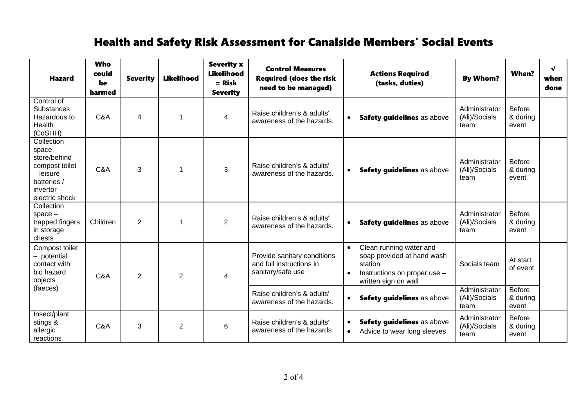| <b>Hazard</b>                                                                                                       | <b>Who</b><br>could<br>be<br>harmed | <b>Severity</b> | <b>Likelihood</b> | <b>Severity x</b><br><b>Likelihood</b><br>$=$ Risk<br><b>Severity</b> | <b>Control Measures</b><br><b>Required (does the risk</b><br>need to be managed) | <b>Actions Required</b><br>(tasks, duties)                                                                                                         | <b>By Whom?</b>                        | <b>When?</b>                       | $\sqrt{ }$<br>when<br>done |
|---------------------------------------------------------------------------------------------------------------------|-------------------------------------|-----------------|-------------------|-----------------------------------------------------------------------|----------------------------------------------------------------------------------|----------------------------------------------------------------------------------------------------------------------------------------------------|----------------------------------------|------------------------------------|----------------------------|
| Control of<br><b>Substances</b><br>Hazardous to<br>Health<br>(CoSHH)                                                | C&A                                 | $\overline{4}$  |                   | $\overline{\mathbf{4}}$                                               | Raise children's & adults'<br>awareness of the hazards.                          | Safety guidelines as above<br>$\bullet$                                                                                                            | Administrator<br>(Ali)/Socials<br>team | <b>Before</b><br>& during<br>event |                            |
| Collection<br>space<br>store/behind<br>compost toilet<br>- leisure<br>batteries /<br>invertor $-$<br>electric shock | C&A                                 | 3               |                   | 3                                                                     | Raise children's & adults'<br>awareness of the hazards.                          | Safety guidelines as above<br>$\bullet$                                                                                                            | Administrator<br>(Ali)/Socials<br>team | <b>Before</b><br>& during<br>event |                            |
| Collection<br>$space -$<br>trapped fingers<br>in storage<br>chests                                                  | Children                            | $\overline{2}$  |                   | $\overline{2}$                                                        | Raise children's & adults'<br>awareness of the hazards.                          | Safety guidelines as above<br>$\bullet$                                                                                                            | Administrator<br>(Ali)/Socials<br>team | <b>Before</b><br>& during<br>event |                            |
| Compost toilet<br>- potential<br>contact with<br>bio hazard<br>objects                                              | C&A                                 | $\overline{2}$  | 2                 | $\overline{4}$                                                        | Provide sanitary conditions<br>and full instructions in<br>sanitary/safe use     | Clean running water and<br>$\bullet$<br>soap provided at hand wash<br>station<br>Instructions on proper use -<br>$\bullet$<br>written sign on wall | Socials team                           | At start<br>of event               |                            |
| (faeces)                                                                                                            |                                     |                 |                   |                                                                       | Raise children's & adults'<br>awareness of the hazards.                          | Safety guidelines as above<br>$\bullet$                                                                                                            | Administrator<br>(Ali)/Socials<br>team | <b>Before</b><br>& during<br>event |                            |
| Insect/plant<br>stings &<br>allergic<br>reactions                                                                   | C&A                                 | 3               | $\overline{2}$    | 6                                                                     | Raise children's & adults'<br>awareness of the hazards.                          | Safety guidelines as above<br>$\bullet$<br>Advice to wear long sleeves<br>$\bullet$                                                                | Administrator<br>(Ali)/Socials<br>team | <b>Before</b><br>& during<br>event |                            |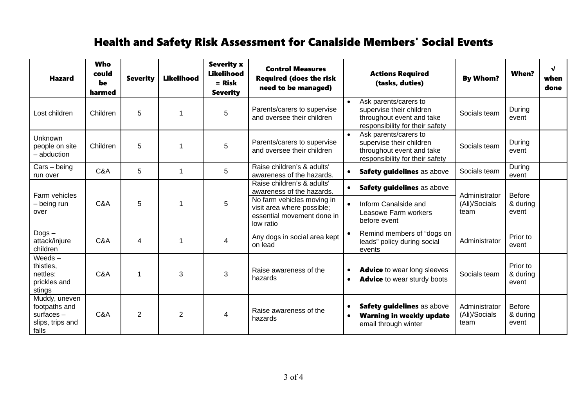| <b>Hazard</b>                                                               | Who<br>could<br>be<br>harmed | <b>Severity</b> | <b>Likelihood</b> | <b>Severity x</b><br>Likelihood<br>$=$ Risk<br><b>Severity</b> | <b>Control Measures</b><br><b>Required (does the risk</b><br>need to be managed)                                                                               |                        | <b>Actions Required</b><br>(tasks, duties)                                                                        | <b>By Whom?</b>                        | When?                              | $\sqrt{ }$<br>when<br>done |
|-----------------------------------------------------------------------------|------------------------------|-----------------|-------------------|----------------------------------------------------------------|----------------------------------------------------------------------------------------------------------------------------------------------------------------|------------------------|-------------------------------------------------------------------------------------------------------------------|----------------------------------------|------------------------------------|----------------------------|
| Lost children                                                               | Children                     | 5               |                   | 5                                                              | Parents/carers to supervise<br>and oversee their children                                                                                                      | $\bullet$              | Ask parents/carers to<br>supervise their children<br>throughout event and take<br>responsibility for their safety | Socials team                           | During<br>event                    |                            |
| Unknown<br>people on site<br>- abduction                                    | Children                     | 5               |                   | 5                                                              | Parents/carers to supervise<br>and oversee their children                                                                                                      |                        | Ask parents/carers to<br>supervise their children<br>throughout event and take<br>responsibility for their safety | Socials team                           | During<br>event                    |                            |
| $Cars - being$<br>run over                                                  | C&A                          | 5               | 1                 | 5                                                              | Raise children's & adults'<br>awareness of the hazards.                                                                                                        | $\bullet$              | Safety guidelines as above                                                                                        | Socials team                           | During<br>event                    |                            |
| Farm vehicles<br>- being run<br>over                                        | C&A                          | 5               |                   | 5                                                              | Raise children's & adults'<br>awareness of the hazards.<br>No farm vehicles moving in<br>visit area where possible;<br>essential movement done in<br>low ratio | $\bullet$<br>$\bullet$ | Safety guidelines as above<br>Inform Canalside and<br>Leasowe Farm workers<br>before event                        | Administrator<br>(Ali)/Socials<br>team | <b>Before</b><br>& during<br>event |                            |
| $Dogs -$<br>attack/injure<br>children                                       | C&A                          | 4               |                   | 4                                                              | Any dogs in social area kept<br>on lead                                                                                                                        | $\bullet$              | Remind members of "dogs on<br>leads" policy during social<br>events                                               | Administrator                          | Prior to<br>event                  |                            |
| Weeds $-$<br>thistles,<br>nettles:<br>prickles and<br>stings                | C&A                          |                 | 3                 | 3                                                              | Raise awareness of the<br>hazards                                                                                                                              | $\bullet$<br>$\bullet$ | <b>Advice</b> to wear long sleeves<br><b>Advice</b> to wear sturdy boots                                          | Socials team                           | Prior to<br>& during<br>event      |                            |
| Muddy, uneven<br>footpaths and<br>surfaces $-$<br>slips, trips and<br>falls | C&A                          | $\overline{2}$  | $\overline{2}$    | 4                                                              | Raise awareness of the<br>hazards                                                                                                                              | $\bullet$<br>$\bullet$ | Safety guidelines as above<br><b>Warning in weekly update</b><br>email through winter                             | Administrator<br>(Ali)/Socials<br>team | <b>Before</b><br>& during<br>event |                            |